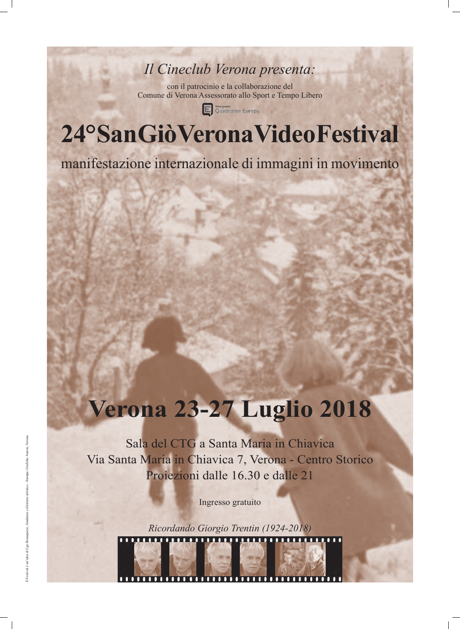### *Il Cineclub Verona presenta:*

con il patrocinio e la collaborazione del Comune di Verona Assessorato allo Sport e Tempo Libero



Interporto<br>Quadrante Europa

# **24° San Giò Verona Video Festival**

manifestazione internazionale di immagini in movimento

Il Festival è un'idea di Ugo Brusaporco, fondatore e direttore artistico - Stampa: Grafiche

## **Verona 23-27 Luglio 2018**

Sala del CTG a Santa Maria in Chiavica

### Via Santa Maria in Chiavica 7, Verona - Centro Storico Proiezioni dalle 16.30 e dalle 21

Ingresso gratuito

*Ricordando Giorgio Trentin (1924-2018)*

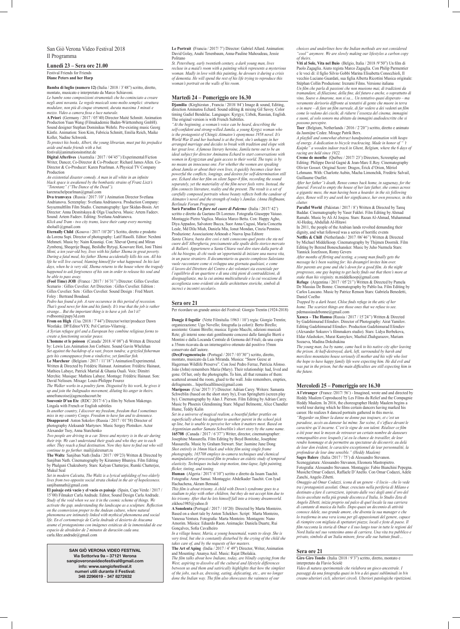San Giò Verona Video Festival 2018 Il Programma

#### **Lunedì 23 – Sera ore 21.00**

Festival Friends for Friends **Diane Peters and her Harp**

**Bamba di luglio (numero 12)** (Italia / 2018 / 3'48") scritto, diretto, montato, musicato e interpretato da Marco Schiavoni.

*Le bambe sono composizioni strumentali che ho cominciato a creare negli anni novanta. Le regole musicali sono molto semplici: struttura modulare, non più di cinque strumenti, durata massima 3 minuti e mezzo. Video a camera fissa e luce naturale.*

**A Priori** (Germany / 2017 / 05'40) Director Maité Schmitt. Animation Production Yuan Wang (Filmakademie Baden-Württemberg GmbH). Sound designer Stephan Dominikus Wehrle. Pre-existing music Georg Kästle. Animation: Sion Kim, Fabricia Schmitt, Emilia Reich, Maike Koller, Nadine Schwenk.

*To protect his books, Albert, the young librarian, must put his prejudice aside and make friends with a bat.*

festival@animationsinstitut.de

**Digital Afterlives** (Australia / 2017 / 04'45'') Experimental/Fiction Writer, Dancer, Co-Director & Co-Producer: Richard James Allen. Co-Director & Co-Producer: Karen Pearlman. A Physical TV Company Production

*An existential disaster comedy. A man in all white in an infinite black space is awakened by the bombastic strains of Franz Liszt's "Totentanz" ("The Dance of the Dead").* karenrachelpearlman@gmail.com

**Dva tramvaya** (Russia / 2017 /10' ) Animation Director Svetlana Andrianova. Screenplay: Svetlana Andrianova. Production Company: Soyuzmultfilm Film Studio. Cinematography: Igor Skidan-Bosin. Art Director: Anna Desnitskaya & Olga Usacheva. Music: Artem Fadeev. Sound: Artem Fadeev. Editing: Svetlana Andrianova.

*Klick and Tram - two city trams, leave their camp every morning.* sholud1@gmail.com

**Eternally Child** (Kosovo / 2017 /10'20'') Scritto, diretto e prodotto da Lorena Supi. Director of photography: Latif Hasolli. Editor: Nexhmi Mehmeti. Music by: Naim Krasniqi. Con: Xhevat Qorraj and Miran Zymberaj, Sheqerije Buqaj, Beslidhe Bytyqi, Kosovare Hoti, Joni Thimi *Moni, a ten year-old boy, lives with his father Xhema in great poverty. During a fatal meal, his father Xhema accidentally kills his son. All his life he will live cursed, blaming himself for what happened. In his last days, when he is very old, Xhema returns to the house where the tragedy happened to ask forgiveness of his son in order to release his soul and be able to pass away.*

**(Fool Time) JOB** (France / 2017 / 16'31'') Director: Gilles Cuvelier. Scenario : Gilles Cuvelier. Art Direction : Gilles Cuvelier. Edition : Gilles Cuvelier. Sets : Gilles Cuvelier. Sound Design : Fred Meert. Foley : Bertrand Boudaud.

*Pedro has found a job. A rare occurence in this period of recession. That's good news for him and his family. It's true that the job is rather strange... But the important thing is to have a job. Isn't it?* rvdboom@papy3d.com

**From on High** (Usa /2018 / 7'44") Director/writer/producer Dawn Westlake. DP/Editor/VFX: Pol Carrizo-Vilarroig .

*A Syrian refugee girl and a European boy combine religious forms to create a functioning secular peace.*

**L'homme et le poisson** (Canada/ 2018 /4' 08") di Written & Directed by: Lewis Leo.Animation Jon Corbiere. Sound Gavin Whelehan *Set against the backdrop of a vast, frozen tundra; a grizzled fisherman gets his comeuppance from a vindictive, yet familiar fish.*

**Le Marcheur** (Belgium / 2017 / 11'18'') Animation/Experimental. Written & Directed by Frédéric Hainaut. Animation: Frédéric Hainaut, Mathieu Labaye, Patrick Martial & Ghania Ouali. Voix: Dimitri Merchie. Musique: Mathieu Labaye. Montage: Frédéric Hainaut. Son: David Nelissen. Mixage: Louis-Philippe Fourez

*The Walker works in a poultry farm. Disgusted by his work, he gives it up and join the Indignados movement, diluting his anger in theirs.* annefrancoise@agenceducourt.be

**Souvenir D'un Ete** (RDC/ 2017/ 6') a film by Nelson Makengo. Lingala with French or English subtitles

*In another country, I discover my freedom, freedom that I sometimes miss in my country Congo. Freedom to have fun and to denounce.* **Disappeared** Anton Sokolov (Russia / 2017 / 01'58) Director of photography Aleksandr Martynov. Music Sergey Plotnikov. Actor Alexander Tsoy, Anna Starchenko

*Two people are driving in a car. Stress and mystery is in the air during their trip. We can't understand their goals and who they are to each other. They reach a final destination. Now they have to find out who will continue to go further.* mail@alexmart.ru

**The Waltz** Sanjiban Nath (India / 2017 / 09'23) Written & Directed by

Sanjiban Nath. Cinematography by Kiranmoy Bhuniya. Film Editing by Phalguni Chakraborty. Stars: Kalyan Chatterjee, Rumki Chatterjee, Mukul Seal

*Set in modern Calcutta, The Waltz is a lyrical unfolding of two elderly lives from two opposite social strata choked in the air of hopelessness.* sanjibannath@gmail.com

**El paisaje está vacío y el vacío es paisaje** (Spain, Cape Verde / 2017 / 15'00) Filmaker Carla Andrade. Editor, Sound Design Carla Andrade. *Study of the void when we see it in the cosmic scheme of things. We activate the gap, understanding the landscape as a sculpture. Reflection on the cosmovision proper to the Andean culture, where natural phenomena are intimately linked with mythical phenomena and social life. En el cortometraje de Carla Andrade el desierto de Atacama asume el protagonismo con imágenes estáticas de la inmensidad de ese espacio de alrededor de 2 minutos de duración cada una.* carla.fdez.andrade@gmail.com

**Le Portrait** (Francia / 2017/ 7') Director: Gabriel Allard. Animation: David Golay, Anahi Tenenbaum, Anna-Pauline Mahoudeau, Jessie Politano

*St. Petersburg, early twentieth century, a dark young man, lives recluse in a maid's room with a painting which represents a mysterious woman. Madly in love with this painting, he devours it during a crisis of dementia. He will spend the rest of his life trying to reproduce this woman's portrait on the walls of his room.*

#### **Martedì 24 – Pomeriggio ore 16.30**

**Djamilia** (Kirghizstan , Francia / 2018/ 84') Image & sound, Editing, direction Aminatou Echard. Sound editing & mixing Gil Savoy. Color timing Gadiel Bendelac. Languages: Kyrgyz, Uzbek, Russian, English. The original version is with French Subtitles.

*"At the beginning, a woman's voice can be heard, describing the self-confident and strong-willed Jamila, a young Kyrgyz woman who is the protagonist of Chingiz Aitmatov's eponymous 1958 novel. It's World War II and her husband is at the front, she's unhappy in her arranged marriage and decides to break with tradition and elope with her great love. A famous literary heroine, Jamila turns out to be an ideal subject for director Aminatou Echard to start conversations with women in Kyrgyzstan and gain access to their world. The topic is by no means an innocuous one. For whether the women are speaking about Jamila or about their own lives, it quickly becomes clear how powerful the conflicts, longings, and desires for self-determination still are. Echard shot her film on silent Super-8 film, recording the sound separately, yet the materiality of the film never feels retro. Instead, the film connects literature, reality and the present. The result is a set of carefully composed portraits whose beauty reflects both the candour of Aitmatov's novel and the strength of today's Jamilas. (Anna Hoffmann, Berlinale Forum Program)*

Parallel World (Pakistan / 2017 / 8') Written & Directed by Tareq Baddar. Cinematography by Yaser Fakhri. Film Editing by Ahmad Ramahi. Music by Ali Al Joujou. Stars: Razan Al-Ahmad, Muhammad Al-Hedeq, Abdullah Al-Hitawi

**A l'etranger** (France /2017/ 56') - Imagined, wrote and and directed by Heddy Maalem Coproduced by Les Films du Relief and the Compagnie Heddy Maalem. In 2016, the choreographer Heddy Maalem begins a world tour during which he films certain dancers having marked his career. He realizes 8 danced portraits gathered in this movie. *"Regarder ou filmer la danse ne donne pas toujours, et c'est un paradoxe, accès au danseur lui même. Sur scène, il s'efface devant le caractère qu'il incarne. C'est le signe de son talent. Réaliser ce film a été pour moi le moyen de retrouver un certain nombre de danseurs remarquables avec lesquels j'ai eu la chance de travailler, de leur rendre hommage et de permettre au spectateur de découvrir, au delà de leur don évident, le caractère exceptionnel de leur personnalité, la profondeur de leur âme sensible." (Heddy Maalem)* **Sagre Balere** (Italia /2017 / 75') di Alessandro Stevan

**Sarà Paradiso** *Un fiore nel cuore di Palermo* (Italia / 2017/ 42') scritto e diretto da Gaetano Di Lorenzo. Fotografia Giuseppe Vaiuso. Montaggio Pietro Vaglica. Musica Marco Betta. Con: Happy Agho, Diya Appadoo, Salvatore Bucca, Suor Anna Cugusi, Maria Concetta Leale, Md Dilu Miah, Daniela Miu, Ionut Mondan, Cinzia Pennino. Produzione: Associazione Arknoah e Nuova Ipsa Editore *Santa Chiara, basta dire così e tutti conoscono quel posto che sta nel cuore dell'Albergheria, precisamente alle spalle dello storico mercato di Ballarò. Appartenere a Santa Chiara vuol dire stare dalla parte di chi ha bisogno, di chi vuole un'opportunità di iniziare una nuova vita, in un paese straniero. Il documentario su questo complesso Salesiano vuole raccontare come si sviluppa una giornata qualsiasi, e come il lavoro del Direttore del Centro e dei volontari sia essenziale per l'equilibrio di un quartiere e di una città pieni di contraddizioni, di diseguaglianze, ma la cui anima multiculturale e la cui vocazione di accoglienza sono evidenti sin dalle architetture storiche, simboli di incroci e incontri secolari».*

#### **Sera ore 21**

Per ricordare un grande amico del Festival: Giorgio Trentin (1924-2018)

**Dongje il fogolâr** (Vette Filmitalia /1963 / 10') regia: Giorgio Trentin; organizzazione: Ugo Novello; fotografia (a colori): Berto Birello; assistente: Gianni Birello; musica: Egisto Macchi, edizioni musicali Rete; gli interni sono stati gentilmente concessi dalle famiglie Bierti e Montini e dalla Locanda Centrale di Gemona del Friuli; da una copia a 35mm ricavata da un internegativo ottenuto dal positivo 35mm conservato dall'autore.

**(Des)Fragmentação** (Portugal / 2017 / 03'30'') scritto, diretto, montato, musicato da Luis Miranda. Musica: "Snow Geese at Hagerman Wildlife Preserve". Con José Pedro Ferraz, Patrícia Afonso. João (John) remembers Maria (Mary). Their relationship: had, lived and gone. Of her, only the photographs. To him, all that remains of them: scattered around the room, glued to the wall. João remembers, empties, defragments... hiperfocalfilmes@gmail.com

**Mariposas** (Usa/ 2017/ 3') Director: Adrian Carey. Writers: Samanta Schweblin (based on the short story by), Evan Springhetti (screen play by). Cinematography by Alan J. Pierson. Film Editing by Adrian Carey. Music by Phoenix Glendinning Stars: Miguel Belmonte, Alice Chandler Hume, Teddy Kalin

*Set in a universe of magical realism, a boastful father prattles on superficially about his daughter to another parent in the school pick up line, but is unable to perceive her when it matters most. Based on Argentinian author Samata Schweblin's short story by the same name.* **165708** (Canada / 2017 / 6'37'') Writer, director, cinematographer: Josephine Massarella. Film Editing by Boyd Bonitzke, Josephine Massarella. Music by Graham Stewart. Star: Jasmine June Dong *Shot entirely in 16mm black and white film using single frame photography, 165708 employs in-camera techniques and chemical* 

*manipulation of processed film to produce an eidetic study of temporal elasticity. Techniques include stop motion, time-lapse, light painting, flicker, tinting, and toning.*

**Human** (Algeria / 2017/ 6'10") scritto e diretto da Issam Taachit. Fotografia: Amar Samai. Montaggio: Abdelkader Taachit. Con Iyad Hachachena, Akram Bensaid.

*This film is about trisomy. A child with Down's syndrome goes to a stadium to play with other children, but they do not accept him due to his trisomy. After that he lets himself fall into a trisomy dreamworld.* zikhou1985@yahoo.fr

**A Sonolenta** (Portugal / 2017 / 10'20) Directed by Marta Monteiro. Based on a short tale by Anton Tchekhov. Script: Marta Monteiro, Vanessa Ventura. Fotografia: Marta Monteiro. Montagem: Nuno Amorim. Música: Eduardo Raon. Animação: Daniela Duarte, Rui Gonçalves, Sofia Cavalheiro

*In a village house, Maria, a young housemaid, wants to sleep. She is very tired, but she is constantly disturbed by the crying of the child she takes care of, and by the requests of her masters.*

**The Art of Aping** (India / 2017 / 4' 49") Director, Writer, Animation and Mounting: Ananya Anil. Music: Rajat Dholakia.

*The film talks about how Indians, today, are blindly copying from the West, aspiring to dissolve all the cultural and lifestyle differences between us and them and satirically highlights that how the simplest of the jobs, such as, dressing, eating, defecating, etc., are no longer done the Indian way. The film also showcases the vainness of our* 

*choices and underlines how the Indian methods are not considered "cool" anymore. We are slowly making our lifestyles a carbon copy of theirs.* 

**Viti al Sole, Vita nel Buio** (Belgio, Italia / 2018 /9'50") Un film di Paolo Zagaglia. Aiuto regista Marco Zagaglia. Con Philip Parmentier e le voci di: il figlio Silvio Gobbi Marina Elisabetta Conocchioli, Il vecchio Luciano Guardati, sua figlia Alberta Ricottini Musica originale: Stéphan Collin Produzione: Irezumi Films. Versione italiana *Un film che parla di passioni che non muoiono mai, di tradizioni da tramandare, di filiazione, della fine, del futuro e anche, o soprattutto di vino, Soave o Amarone, non si sa… Un tentativo quasi disperato – ma veramente derisorio diffronte ai tentativi di gente che muore in terra o in mare – di fare un film surreale, di far vedere a dei vedenti un film come lo vedono dei ciechi, di ridurre l'essenza del cinema, immagini e suoni, al solo sonoro ma abitato da immagini audiodescritte che si possono percepire.*

**Toer** (Belgium, Netherlands / 2016 / 2'20'') scritto, diretto e animato da Jasmijne Cedee. Mixage Patrik Berx.

*A playfull and somewhat abstract handpainted animation with heaps of energy. A dedication to bicycle trackracing. Made in honor of " 't Kuipke" a wooden indoor track in Ghent, Belgium, where the 6 days of racing are held since 1922.*

**Creme de menthe** (Québec / 2017/ 23') Directors, Screenplay and Editing: Philippe David Gagné & Jean-Marc E.Roy. Cinematography Olivier Gossot. Original Score: Dragos, Érick d'Orion, Mériol Lehmann. With: Charlotte Aubin, Macha Limonchik, Fredéric Salvail, Guillaume Ouellet.

*After her father''s death, Renee comes back home, in saguenay, for the funeral. Forced to empty the house of her late father, she comes across a gigantic mess, the man having been a hoarder. in the six following days, Renee will try and seek her significance, her own presence, in this clutter.*

In 2011, the people of the Arabian lands revolted demanding their dignity, and what followed was a series of horrific events

**Netflix & Chill** (Netherlands / 2017 /06'46'') Written & Directed by Michael Middelkoop. Cinematography by Thijmen Doornik. Film Editing by Berend Boneschansker. Music by Juho Nurmela Stars: Yannick Jozefzoon, Romy Gevers

*After months of flirting and texting, a young man finally gets the message he's been waiting for: his dreamgirl invites him over. Her parents are gone and she's down for a good film. As the night progresses, one guy hoping to get lucky finds out that there's more at stake than his virginity.* m.middelkoop@gmail.com

**Refuge** (Argentina / 2017 / 05'21'') Written & Directed by Pamela De Massias De Bonne. Cinematography by Pablo Isa. Film Editing by Carlos Lascano. Music by Patrice Renson Stars: Gabriela Benedetti, Daniel Coelho

*Trapped by a dark beast, Chloe finds refuge in the attic of her home. The scariest things are those ones that we refuse to see.* pdemassiasdebonne@gmail.com

**Хамса – The Hamsa** (Russia / 2017 / 15'24'') Written & Directed by Gadzhimurad Efendiev. Director of Photography: Airat Yamilov. Editing Gadzhimurad Efendiev. Production Gadzhimurad Efendiev (Alexander Sokurov's filmmakers studio). Stars: Lidya Berbekova, Eldar Afashokov, Murat Kumykov, Mazhid Zhahgurazov, Mariam Sozaeva, Madina Dokshukina

*The young man, Isa by name, came back to his native city after leaving the prison. At half-destroyed, dark, left, surrounded by harsh and merciless mountains house seriously ill mother and his wife who lost the hope to have happy family life were expecting him. He did evil and was put in the prison, but the main difficulties are still expecting him in the future.*

#### **Mercoledì 25 – Pomeriggio ore 16.30**

Sceneggiatura: Alessandro Stevanon, Eleonora Mastropietro.

Fotografia: Alessandro Stevanon. Montaggio: Fabio Bianchini Pepegna. Musiche:Omar Codazzi, Raffaele D'Anello. Con Omar Codazzi, Adele Zanchi, Angelo Zibetti.

*Omaggio ad Omar Codazzi, icona di un genere - il liscio - che lo vede tra i protagonisti assoluti. Omar, cresciuto nella periferia di Milano e destinato a fare il carrozziere, ispirato dalle voci degli anni d'oro del liscio ascoltate nella più grande discoteca d'Italia, lo Studio Zeta di Angelo Zibetti, inizia proprio sul palco di quel locale la sua carriera di cantante di musica da ballo. Dopo quasi un decennio di attività conosce Adele, suo grande amore, che diventa la sua manager e che lo trasforma in una vera icona per gli appassionati del genere, capace di riempire con migliaia di spettatori piazze, locali e feste di paese. Il film racconta la storia di Omar e il suo lungo tour in tutte le regioni del Nord Italia nel suo ventesimo anno di carriera. Una vita tra pubblico e privato, simbolo di un'Italia minore, forse alle sue battute finali…*

#### **Sera ore 21**

**Giro Giro Tondo** (Italia /2018 / 9'3") scritto, diretto, montato e interpretato da Flavio Sciolé

*Video di natura sperimentale che rielabora un gioco ancestrale. I passaggi da una fotografia quasi in b/n a dei quasi subliminali in b/n creano ulteriori cicli, ulteriori circoli. Ulteriori patologiche ripetizioni.*

**SAN GIÒ VERONA VIDEO FESTIVAL Via Sottoriva 9a – 37121 Verona sangioveronavideofestival@gmail.com info: www.sangiofestival.it numeri utili durante il Festival: 348 2296619 - 347 8272632**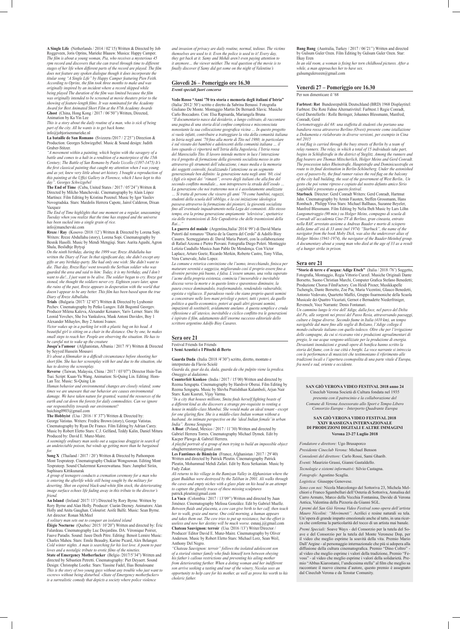**A Single Life** (Netherlands / 2014 / 02'15) Written & Directed by Job Roggeveen, Joris Oprins, Marieke Blaauw. Musica: Happy Camper. *The film is about a young woman, Pia, who receives a mysterious 45 rpm record and discovers that she can travel through time to different stages of her life when different parts of the record are played. The film does not feature any spoken dialogue though it does incorporate the titular song "A Single Life" by Happy Camper featuring Pien Feith. According to Oprins, the film took three months to make and was originally inspired by an incident where a record skipped while being played The duration of the film was limited because the film was originally intended to be screened at movie theaters prior to the showing of feature-length films. It was nominated for the Academy Award for Best Animated Short Film at the 87th Academy Awards* **Ghost** (China, Hong Kong / 2017 / 06'50'') Written, Directed, Animation by Ka Yin Lee

*This is a story about the daily routine of a man, who is sick of being part of the city. All he wants is to get back home.* info@jobjorisenmarieke.nl

**La bataille de San Romano** (Svizzera **/**2017 / 2'25'') Direction & Production: Georges Schwizgebel. Music & Sound design: Judith Gruber-Stitzer.

*"A movement within a painting, which begins with the savagery of a battle and comes to a halt in a rendition of a masterpiece of the 15th Century; The Battle of San Romano by Paolo Uccello (1397-1475) It's the first classical painting that caught my attention when I was young and as yet, knew very little about art history. I bought a reproduction of this painting at the Uffizi Gallery in Florence, which I have kept to this day". Georges Schwizgebel*

**The End of Time** (Cuba, United States / 2017 / 05'24'') Written & Directed by Milcho Manchevski. Cinematography by Alain López Martínez. Film Editing by Kristina Pozenel. Music by Igor Vasilev Novogradska. Stars: Maidolis Herrera Capote, Jairol Calderon, Dixan Vazquez

*The End of Time highlights that one moment on a regular, unassuming Tuesday when you realize that the time has stopped and the universe has been sucked into a single grain of rice.*

info@manchevski.com

**Rreze / Ray** (Kosovo /2018 /12') Written & Directed by Lorena Sopi. Writers: Rreze Abdullahu (story), Lorena Sopi. Cinematography by Besnik Hasolli. Music by Mendi Mengjiqi. Stars: Aurita Agushi, Agron Shala, Beslidhje Bytyqi

*On the ninth birthday, during the 1999 war, Rreze Abdullahu has written the Diary of Fear. In that significant day, she didn't except any gifts or any birthday-party. She had only one wish: She didn't want to die. That day, Rreze/Ray/ went towards the Serbian soldier who was guarded the area and said to him: Today, it is my birthday, and I don't want to die!...I just want to be alive. The soldier began to cry. Rreze got stoned, she thought the soldiers never cry. Eighteen years later, upon the ruins of the past, Rreze appears in desperation with the world that doesn't appear to be any better. This film has been based upon the true Diary of Rreze Adbullahu.*

**Trials** (Bulgaria /2017/ 12'45") Written & Directed by Lyubomir Pechev. Cinematography by Petko Lungov. Edit Bogomil Georgev. Producer Milena Kaleva, Alexander Kenanov, Yariv Lerner. Stars: He Leonid Yovchev, She Iva Yankulova, Mask Antoni Davidov, Boy 1 Alexander Mihaylov, Boy 2 Antoni Ivanov.

*Victor wakes up in a parking lot with a plastic bag on his head. A beautiful girl is sitting on a chair in the distance. One by one, he makes small steps to reach her. People are observing the situation. He has to be careful not to wake up the creature*

**Jusqu'a l'amour** (Afghanistan, Albania / 2017 /9') Written & Directed by Seyyed Hussein Mousavi

*It's about a filmmaker in a difficult circumstance before shooting her short film. She has her screenplay with her and due to the situation, she has to destroy the screenplay.*

**Reverse** (Taiwan, Malaysia, China / 2017 / 03'07") Director Hsin-Tun Tsai. Script: Kuan-Yu Wang. Animation: Si-Quing Lin. Editing: Hom-Lan Tee. Music: Si-Quing Lin

*Human behavior and environmental changes are closely related; some times we are unaware that our behavior are causes environmental damage. We have taken nature for granted, wasted the resources of the earth and cut down the forests for daily commodities. Can we ignore our responsibility towards our environment?*

huiching0903@gmail.com

**The Hobbyist** (Usa / 2016 / 8' 37") Written & Directed by: George Vatistas. Writers: Fredric Brown (story), George Vatistas. Cinematography by Ryan De Franco. Film Editing by Adrian Carey. Music by Robert Eletto Stars: C.J. Gelfand, Teddy Kalin, Daniel Mitura Produced by: David E. Munz-Maire.

*A seemingly ordinary man seeks out a sagacious druggist in search of an undetectable poison, but winds up getting more than he bargained for.*

**Song X** (Thailand / 2017 / 20') Written & Directed by Pathompon Mont Tesprateep. Cinematography Chukiat Wongsuwan. Editing Mont Tesprateep. Sound Chalermrat Kaweewattana. Stars: Jumphol Siriin, Suphisara Kittikunarak

*A group of teenagers conducts a cremation ceremony for a man who is entering the afterlife while still being sought by the military for deserting. Shot on expired black-and-white film stock, the deteriorating image surface echoes life fading away in this tribute to the director's friend.*

**An Island** (Ireland/ 2017/ 13') Directed by Rory Byrne. Written by Rory Byrne and Alan Holly. Producer: Ciaràn Deeney. Animators: Alan Holly and Anita Gaughan. Colourist: Aoife Balfe. Music: Sean Byrne. Art director: Ronan McMeel

*A solitary man sets out to conquer an isolated island* **Élégie Nocturne** (Quebec/ 2015/ 10'20") Written and directed by: Éric Falardeau. Cinematography Luc Desjardins. DA: Véronique Poirier, Fauve Paradis. Sound: Jasee Deeh Pitre. Editing: Benoit Lemire Music: Charles Maheu. Stars: Emile Beaudry, Karine Picard, Alex Belanger. *Cold winter nights. A man is searching for his lost love. A poem to past loves and a nostalgic tribute to erotic films of the nineties.* **State of Emergency Motherfucker** (Belgio /2017/5'34") Written and directed by Sébastien Petretti. Cinematography: Piet Deyaert. Sound Design: Christophe Loerke. Stars: Yassine Fadel, Ilias Benalouane *This is the story of two young guys without any trouble who just want to «screw» without being disturbed. «State of Emergency motherfucker» is a surrealistic comedy that depicts a society where police violence* 

*and invasion of privacy are daily routine, normal, tedious. The victims themselves are used to it. Even the police is used to it! Every day, they get back at it. Samy and Mehdi aren't even paying attention to it anymore… the viewer neither. The real question of the movie is to finally discover if Samy did get some on the night of Valentine's*

#### **Giovedì 26 – Pomeriggio ore 16.30**

#### *Eventi speciali fuori concorso*

**Vedo Rosso "Anni '70 tra storia e memoria degli italiani d'Istria"**  (Italia/ 2012/ 50') scritto e diretto da Sabrina Benussi. Fotografia Giuliano De Monte. Montaggio Martin De Bernardi Slavic. Musiche Carlo Boccadoro. Con: Elsa Rapisarda, Mariangela Bruna *"Il documentario nasce dal desiderio, a lungo coltivato, di raccontare una pagina di una storia di/al confine complessa e misconosciuta nonostante la sua collocazione geografica vicina … In questo progetto si vuole infatti, contribuire a tratteggiare la vita della comunità italiana in Istria negli anni '70 fino alla morte di Tito nel 1980; in particolare è sul vissuto dei bambini e adolescenti della comunità italiana … il loro sguardo ci riporterà nell'Istria della Jugoslavia, l'Istria rossa del Maresciallo Tito. Il lavoro intende mettere in luce l'interazione tra il progetto di formazione della gioventù socialista messo in atto attraverso gli strumenti dell'educazione, i mass media e la memoria dei soggetti coinvolti, focalizzando l'attenzione su un segmento generazionale ben definito: la generazione nata negli anni '60, cioè i figli e/o nipoti dei "rimasti", ovvero degli italiani che alla fine del secondo conflitto mondiale… non intrapresero la strada dell'esodo … La generazione che noi tratteremo non si è assolutamente analizzata … Si tratta di persone che vissero gli anni '70 come bambini, ragazzi, studenti della scuola dell'obbligo, e la cui iniziazione ideologica passava attraverso la formazione dei pionieri, la gioventù socialista fino all'eventuale inquadramento nella Lega dei comunisti. Allo stesso* 

*tempo, era la prima generazione ampiamente 'televisiva', spettatrice sia delle trasmissioni di Tele Capodistria che delle trasmissioni della Rai…"* **La guerra del maiale** (Argentina,Italia/ 2014/ 99') di David Maria

Putortì dal romanzo "Diario de la Guerra del Cerdo" di Adolfo Bioy Casares. Sceneggiatura di: David Maria Putortì, con la collaborazione di Rafael Azcona e Pietro Piovani. Fotografia Diego Poleri. Montaggio Letizia Caudullo Musica Juan Pablo De Mendonça. Con Víctor Laplace, Arturo Goetz, Ricardo Merkin, Roberto Castro, Tony Villas, Vera Carnevale, Julio Lopez.

*La comune e retorica convinzione che l'uomo, invecchiando, finisca per maturare serenità e saggezza, migliorando così il proprio essere fino a divenire persino più buono, è falsa. L'essere umano, una volta superato l'acme della propria esistenza, comincia l'inesorabile e inevitabile discesa verso la morte e in questo lento e spaventoso diminuire, la paura cresce dominandolo, trasformandolo, rendendolo vulnerabile, egoista e vigliacco. Il paradosso vuole che siano proprio questi uomini a concentrare nelle loro mani privilegi e poteri, tutti i poteri, da quello politico a quello economico, poteri ai quali altri giovani uomini, impazienti di sostituirli, avidamente anelano. A questa semplice e cruda riflessione e all'atavico, inevitabile e ciclico conflitto tra le generazioni è ispirato il film, adattamento dell'enorme successo editoriale dello scrittore argentino Adolfo Bioy Casares.*

#### **Sera ore 21**

Festival Friends for Friends **I Semi Acustici e I Pitochi di Berto**

**Guarda Dada** (Italia /2018 /4'30") scritto, diretto, montato e interpretato da Flavio Sciolé

*Guarda da, guar da da, dada, guarda da che pulpito viene la predica. Omaggio al dadaismo.*

**Counterfeit Kunkoo** (India / 2017 / 15'00) Written and directed by Reema Sengupta. Cinematography by Harshvir Oberai. Film Editing by Reema Sengupta. Music by Shivba Pratishthan Kalamboli, Arjun Nair Stars: Kani Kusruti, Vijay Varma.

*"In a city that houses millions, Smita finds herself fighting beasts of a different kind as she discovers a strange pre-requisite to renting a house in middle-class Mumbai. She would make an ideal tenant - except for one glaring flaw. She is a middle-class Indian woman without a husband. An intimate perspective on the 'ideal Indian female' in urban India". Reema Sengupta*

**A Boat** (Poland, Mexico / 2017 / 11'30) Written and directed by Gabriel Herrera Torres. Cinematography Michael Dymek. Edit by Kacper Plawgo & Gabriel Herrera.

*A playful portrait of a group of men trying to build an impossible object* obagherreratorres@gmail.com

**Les Fantômes de Bâmiyân** (France, Afghanistan / 2017 / 29'40)

Written and directed by Patrick Pleutin. Cinematography Patrick Pleutin, Mohammad Mehdi Zafari. Edit by Reza Serkanian. Music by Fady Zakar.

*Ali returns to his village in the Bamiyan Valley in Afghanistan where the giant Buddhas were destroyed by the Taliban in 2001. Ali walks through the caves and empty niches with a glass plate on his head in an attempt to capture the ghostly traces of these missing sculptures* patrick.pleutin@gmail.com

**La Vaca** (Colombia / 2017 / 13'09'') Written and directed by Juan Jiménez. Cinematography Melissa González. Edit by Gabriel Muelle. *Between fluids and placenta, a cow can give birth to her calf, then teach her to walk, graze and nurse. One cold morning, a human appears and takes them out. The cow tries to put up resistance, but the effort is useless and now her destiny will be much worse.* esnauj.j@gmail.com **Chateau Sauvignon: terroir** (Usa /2016 /13') Writer/Director / Producer/ Editor David E. Munz-Maire. Cinematography by Oliver Anderson. Music by Robert Eletto Stars: Michael Lorz, Sean Weil, Anthony Del Negro.

*"Chateau Sauvignon: terroir" follows the isolated adolescent son of a storied vintner family who finds himself torn between obeying his father's callous restrictions and preventing his ailing mother from deteriorating further. When a doting woman and her indifferent son arrive seeking a tasting and tour of the winery, Nicolas sees an opportunity to help care for his mother, as well as prove his worth to his choleric father.* 

**Bang Bang** (Australia, Turkey / 2017 / 06'21'') Written and directed by Gulsum Guler Ozen. Film Editing by Gulsum Guler Ozen. Star: Ilkay Eren

*In an old room, a woman is fixing her torn childhood pictures. After a while, a man approaches her to have sex.* gulsumgulerozen@gmail.com

#### **Venerdì 27 – Pomeriggio ore 16.30**

Per non dimenticare il '68

**Farbtest: Rot** Bundesrepublik Deutschland (BRD) 1968 Displaytitel: Farbtest. Die Rote Fahne Alternativtitel: Farbtest.1 Regie Conradt, Gerd DarstellerIn / Rolle Beringer, Johannes Blessmann, Manfred, Conradt, Gerd

*Cortometraggio del 68: una staffetta di studenti che portano una bandiera rossa attraverso Berlino (Ovest) presente come istallazione a Dokumenta e rielaborato in diverse versioni, per esempio in Cina nel 2015*

*A red flag is carried through the busy streets of Berlin by a team of relay runners. The relay, in which a total of 15 individuals take part, begins in Schloßstraße in the district of Steglitz. Among the runners and flag bearers are Thomas Mitscherlich, Holger Meins and Gerd Conradt. The procession takes Rheinstraße, Hauptstraße and Dominicusstraße en route to its final destination in Berlin-Schöneberg. Under the astonished eyes of passers-by, the final runner raises the red flag on the balcony of the city hall building, the seat of the government of West Berlin.. Un gesto che poi venne ripreso e copiato dal nostro defunto amico Sirio Luginbühl e presentato a questo festival.*

**Starbuck** Director: Gerd Conradt Writers: Gerd Conradt, Hartmut Jahn. Cinematography by Armin Fausten, Steffen Grossmann, Hans Rombach , Philipp Virus Stars: Michael Ballhaus, Suzanne Beyeler, Manfred Blessmann. Film Editing by Nelia Ibeh Music by Lars Löhn *Lungometraggio (90 min.) su Holger Meins, compagno di scuola di Conradt all´accademia Cine-TV di Berlino, gran cineasta, entrato nella RAF, arrestato assieme a Andreas Baader e morto di sciopero della fame all´età di 33 anni (nel 1974) "Starbuck", the name of the navigator from the book Moby Dick, was also the undercover alias of Holger Meins (1941-1974), the navigator of the Baader-Meinhof group. A documentary about a young man who died at the age of 33 as a result of a hunger strike in prison.*

#### **Sera ore 21**

**"Storie di terre e d'acqua: Adige Etsch"** (Italia / 2018 /76') Soggetto, Fotografia, Montaggio, Regia Vittorio Curzel. Musiche Originali Dante Borsetto, Suono Christian Marchi, Computer Grafica Stefano Benedetti; Produzione Chorus FilmFactory. Con Heidi Pixner, Musikkapelle Tschengls, Dante Borsetto, Zoe Pia, Maria Vicentini, Glauco Benedetti, Antonio Vedovato, Quartetto Maffei, Gruppo fisarmoniche della Scuola Musicale dei Quattro Vicariati, Gernot e Bernadette Niederfriniger, Revensch; Voce Narrante: Denis Fontanari.

*Un cammino lungo le rive dell'Adige, dalla foce, nel parco del Delta del Po, alle sorgenti nei pressi del Passo Resia, attraversando paesaggi, culture e lingue diverse. Secondo fiume in Italia (410 km), un tempo navigabile dal mare fino alle soglie di Bolzano, l'Adige collega il mondo culturale italiano con quello tedesco. Oltre che per l'irrigazione delle campagne, da cui si ricavano vini e produzioni agroalimentari di pregio, le sue acque vengono utilizzate per la produzione di energia. Devastanti inondazioni e grandi opere di bonifica hanno scritto la storia del fiume, con le sue città e borghi. La voce narrante si intreccia con le performance di musicisti che testimoniano il riferimento alle tradizioni locali e l'apertura cosmopolita di una parte vitale d'Europa, fra nord e sud, oriente e occidente.*

**SAN GIÒ VERONA VIDEO FESTIVAL 2018 anno 24** Cineclub Verona Società di Cultura fondata nel 1935

*presenta con il patrocinio e la collaborazione del Comune di Verona Assessorato allo Sport e Tempo Libero Consorzio Europa – Interporto Quadrante Europa*

**SAN GIÒ VERONA VIDEO FESTIVAL 2018 XXIV RASSEGNA INTERNAZIONALE DI PRODUZIONI DIGITALI E ALTRE IMMAGINI Verona 23-27 Luglio 2018**

*Fondatore e direttore:* Ugo Brusaporco *Presidente Cineclub Verona:* Michael Benson *Consulenti del direttore:* Carlo Rossi, Sami Gharib.

*Eventi:* Maurizio Grassi, Gianni Gastaldello. *Tecnologie e sistemi informativi:* Silvio Castagna.

*Fotografo:* Agostino Scaglia.

*Logistica:* Giuseppe Genovese.

*Sono con noi:* Nicola Marcolongo del Sottoriva 23, Michela Melchiori e Franco Sgambelluri dell'Osteria di Sottoriva, Annalisa del Carro Armato, Marco della Vecchia Fontanina, Davide di Verona Antica, Valentina della Pizzeria da Gianni SGL.

*I premi del San Giò Verona Video Festival sono opera dell'artista Mauro Nicolini: "Movimenti".* Acrilici e resine naturali su tela. Un'opera di grande impatto emozionale anche al tatto, in una ricerca che conferma la particolarità del tocco di un artista mai banale.

*Premi Speciali:* Soave Ways - del Consorzio per la tutela del Soave e del Consorzio per la tutela del Monte Veronese Dop, per il video che meglio esprime la soavità della vita. Premio Mario Dall'Argine - al personaggio internazionale che più si adopera alla diffusione della cultura cinematografica. Premio "Dino Coltro" al video che meglio esprime i valori della tradizione, Premio "Fevoss" - al video che meglio esprime i valori della solidarietà. Premio "Abbas Kiarostami, l'undicesima stella" al film che meglio sa raccontare il nuovo cinema d'autore, questo premio è assegnato dal Cineclub Verona e da Tenstar Comunity.